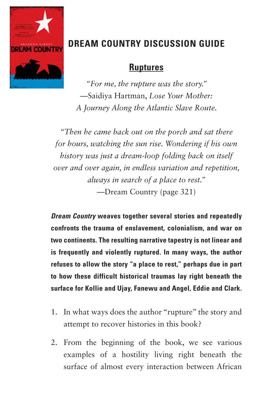

## **DREAM COUNTRY DISCUSSION GUIDE**

## **Ruptures**

*"For me, the rupture was the story."*  —Saidiya Hartman, *Lose Your Mother: A Journey Along the Atlantic Slave Route.* 

*"Then he came back out on the porch and sat there for hours, watching the sun rise. Wondering if his own history was just a dream-loop folding back on itself over and over again, in endless variation and repetition, always in search of a place to rest."* —Dream Country (page 321)

*Dream Country* **weaves together several stories and repeatedly confronts the trauma of enslavement, colonialism, and war on two continents. The resulting narrative tapestry is not linear and is frequently and violently ruptured. In many ways, the author refuses to allow the story "a place to rest," perhaps due in part to how these difficult historical traumas lay right beneath the surface for Kollie and Ujay, Fanewu and Angel, Eddie and Clark.** 

- 1. In what ways does the author "rupture" the story and attempt to recover histories in this book?
- 2. From the beginning of the book, we see various examples of a hostility living right beneath the surface of almost every interaction between African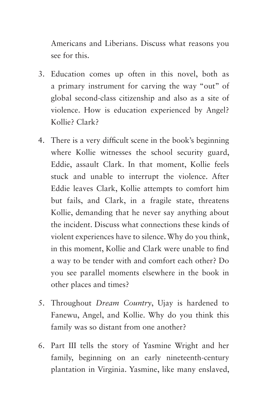Americans and Liberians. Discuss what reasons you see for this.

- 3. Education comes up often in this novel, both as a primary instrument for carving the way "out" of global second-class citizenship and also as a site of violence. How is education experienced by Angel? Kollie? Clark?
- 4. There is a very difficult scene in the book's beginning where Kollie witnesses the school security guard, Eddie, assault Clark. In that moment, Kollie feels stuck and unable to interrupt the violence. After Eddie leaves Clark, Kollie attempts to comfort him but fails, and Clark, in a fragile state, threatens Kollie, demanding that he never say anything about the incident. Discuss what connections these kinds of violent experiences have to silence. Why do you think, in this moment, Kollie and Clark were unable to find a way to be tender with and comfort each other? Do you see parallel moments elsewhere in the book in other places and times?
- 5. Throughout *Dream Country*, Ujay is hardened to Fanewu, Angel, and Kollie. Why do you think this family was so distant from one another?
- 6. Part III tells the story of Yasmine Wright and her family, beginning on an early nineteenth-century plantation in Virginia. Yasmine, like many enslaved,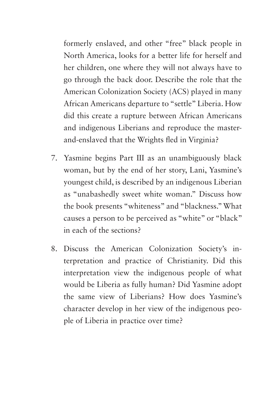formerly enslaved, and other "free" black people in North America, looks for a better life for herself and her children, one where they will not always have to go through the back door. Describe the role that the American Colonization Society (ACS) played in many African Americans departure to "settle" Liberia. How did this create a rupture between African Americans and indigenous Liberians and reproduce the masterand-enslaved that the Wrights fled in Virginia?

- 7. Yasmine begins Part III as an unambiguously black woman, but by the end of her story, Lani, Yasmine's youngest child, is described by an indigenous Liberian as "unabashedly sweet white woman." Discuss how the book presents "whiteness" and "blackness." What causes a person to be perceived as "white" or "black" in each of the sections?
- 8. Discuss the American Colonization Society's interpretation and practice of Christianity. Did this interpretation view the indigenous people of what would be Liberia as fully human? Did Yasmine adopt the same view of Liberians? How does Yasmine's character develop in her view of the indigenous people of Liberia in practice over time?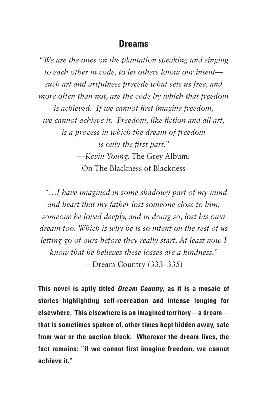## **Dreams**

*"We are the ones on the plantation speaking and singing to each other in code, to let others know our intent such art and artfulness precede what sets us free, and more often than not, are the code by which that freedom is achieved. If we cannot first imagine freedom, we cannot achieve it. Freedom, like fiction and all art, is a process in which the dream of freedom is only the first part."*  —*Kevin Young*, The Grey Album: On The Blackness of Blackness

 *"…I have imagined in some shadowy part of my mind and heart that my father lost someone close to him, someone he loved deeply, and in doing so, lost his own dream too. Which is why he is so intent on the rest of us letting go of ours before they really start. At least now I know that he believes these losses are a kindness."* —Dream Country (333–335)

**This novel is aptly titled** *Dream Country***, as it is a mosaic of stories highlighting self-recreation and intense longing for elsewhere. This elsewhere is an imagined territory—a dream that is sometimes spoken of, other times kept hidden away, safe from war or the auction block. Wherever the dream lives, the fact remains: "if we cannot first imagine freedom, we cannot achieve it."**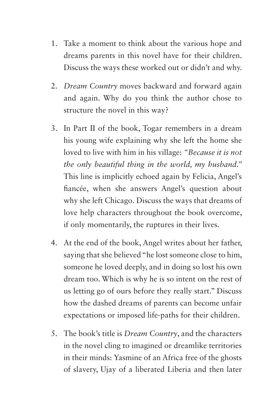- 1. Take a moment to think about the various hope and dreams parents in this novel have for their children. Discuss the ways these worked out or didn't and why.
- 2. *Dream Country* moves backward and forward again and again. Why do you think the author chose to structure the novel in this way?
- 3. In Part II of the book, Togar remembers in a dream his young wife explaining why she left the home she loved to live with him in his village: *"Because it is not the only beautiful thing in the world, my husband."*  This line is implicitly echoed again by Felicia, Angel's fiancée, when she answers Angel's question about why she left Chicago. Discuss the ways that dreams of love help characters throughout the book overcome, if only momentarily, the ruptures in their lives.
- 4. At the end of the book, Angel writes about her father, saying that she believed "he lost someone close to him, someone he loved deeply, and in doing so lost his own dream too. Which is why he is so intent on the rest of us letting go of ours before they really start." Discuss how the dashed dreams of parents can become unfair expectations or imposed life-paths for their children.
- 5. The book's title is *Dream Country*, and the characters in the novel cling to imagined or dreamlike territories in their minds: Yasmine of an Africa free of the ghosts of slavery, Ujay of a liberated Liberia and then later